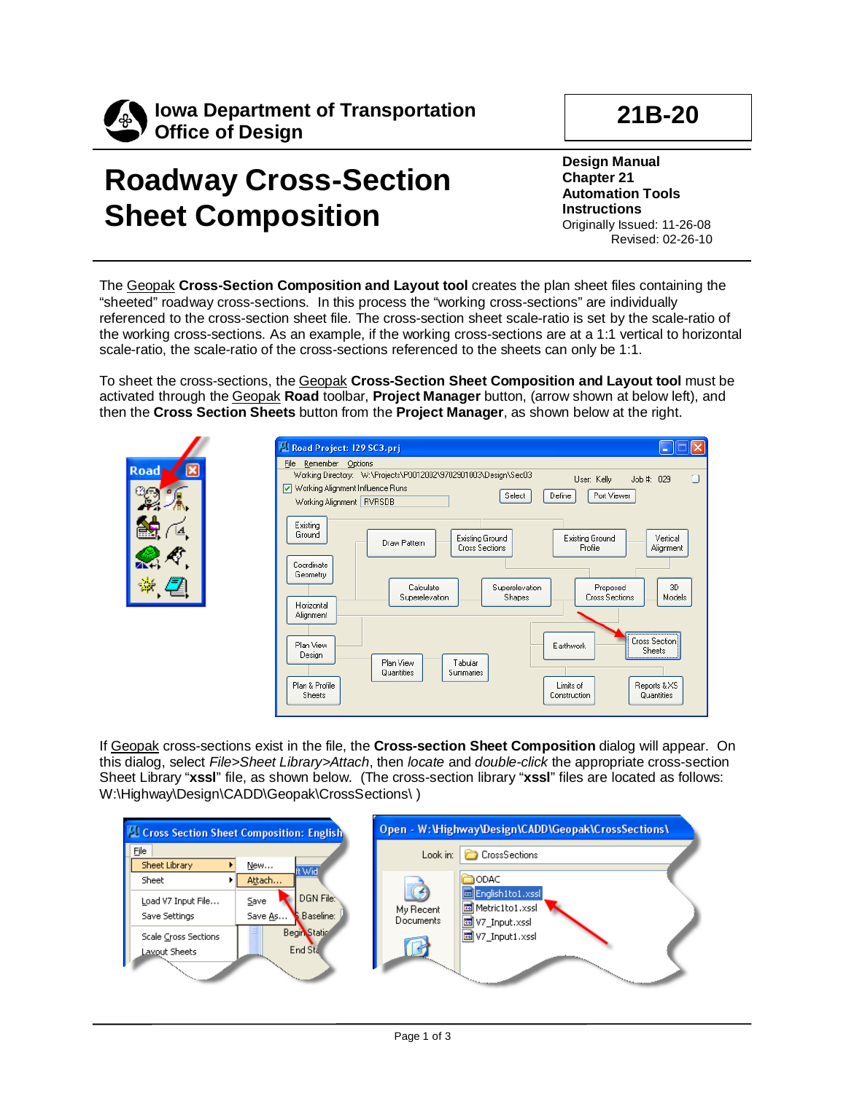

## **21B-20**

## **Roadway Cross-Section Sheet Composition**

**Design Manual Chapter 21 Automation Tools Instructions** Originally Issued: 11-26-08 Revised: 02-26-10

The Geopak **Cross-Section Composition and Layout tool** creates the plan sheet files containing the "sheeted" roadway cross-sections. In this process the "working cross-sections" are individually referenced to the cross-section sheet file. The cross-section sheet scale-ratio is set by the scale-ratio of the working cross-sections. As an example, if the working cross-sections are at a 1:1 vertical to horizontal scale-ratio, the scale-ratio of the cross-sections referenced to the sheets can only be 1:1.

To sheet the cross-sections, the Geopak **Cross-Section Sheet Composition and Layout tool** must be activated through the Geopak **Road** toolbar, **Project Manager** button, (arrow shown at below left), and then the **Cross Section Sheets** button from the **Project Manager**, as shown below at the right.

|                                   | Road Project: 129 SC3.prj<br><b>For</b>                                                                                                                                                                                                                                                                                                                                                                                                                                                                                                                                                                                                             |
|-----------------------------------|-----------------------------------------------------------------------------------------------------------------------------------------------------------------------------------------------------------------------------------------------------------------------------------------------------------------------------------------------------------------------------------------------------------------------------------------------------------------------------------------------------------------------------------------------------------------------------------------------------------------------------------------------------|
| Road ~<br>$\overline{\mathbf{x}}$ | Remember Options<br>File<br>Working Directory: W:\Projects\P0012002\9702901003\Design\Sec03<br>$\Box$<br>Job #: 029<br>User: Kelly<br>Working Alignment Influence Runs<br>Select<br>Define<br>Port Viewer<br>Working Alignment   RVRSDB<br>Existing<br>Ground<br><b>Existing Ground</b><br>Existing Ground<br>Vertical<br>Draw Pattern<br><b>Cross Sections</b><br>Profile<br>Alignment<br>Coordinate<br>Geometry<br>3D<br>Calculate<br>Superelevation<br>Proposed<br>Superelevation<br>Cross Sections<br>Models<br>Shapes<br>Horizontal<br>Alignment<br>Cross Section<br>Plan View<br>Earthwork<br><b>Sheets</b><br>Design<br>Plan View<br>Tabular |
|                                   | Summaries<br>Quantities<br>Plan & Profile<br>Limits of<br>Reports & XS<br>Quantities<br>Sheets<br>Construction                                                                                                                                                                                                                                                                                                                                                                                                                                                                                                                                      |

If Geopak cross-sections exist in the file, the **Cross-section Sheet Composition** dialog will appear. On W:\Highway\Design\CADD\Geopak\CrossSections\) this dialog, select *File>Sheet Library>Attach*, then *locate* and *double-click* the appropriate cross-section Sheet Library "**xssl**" file, as shown below. (The cross-section library "**xssl**" files are located as follows:

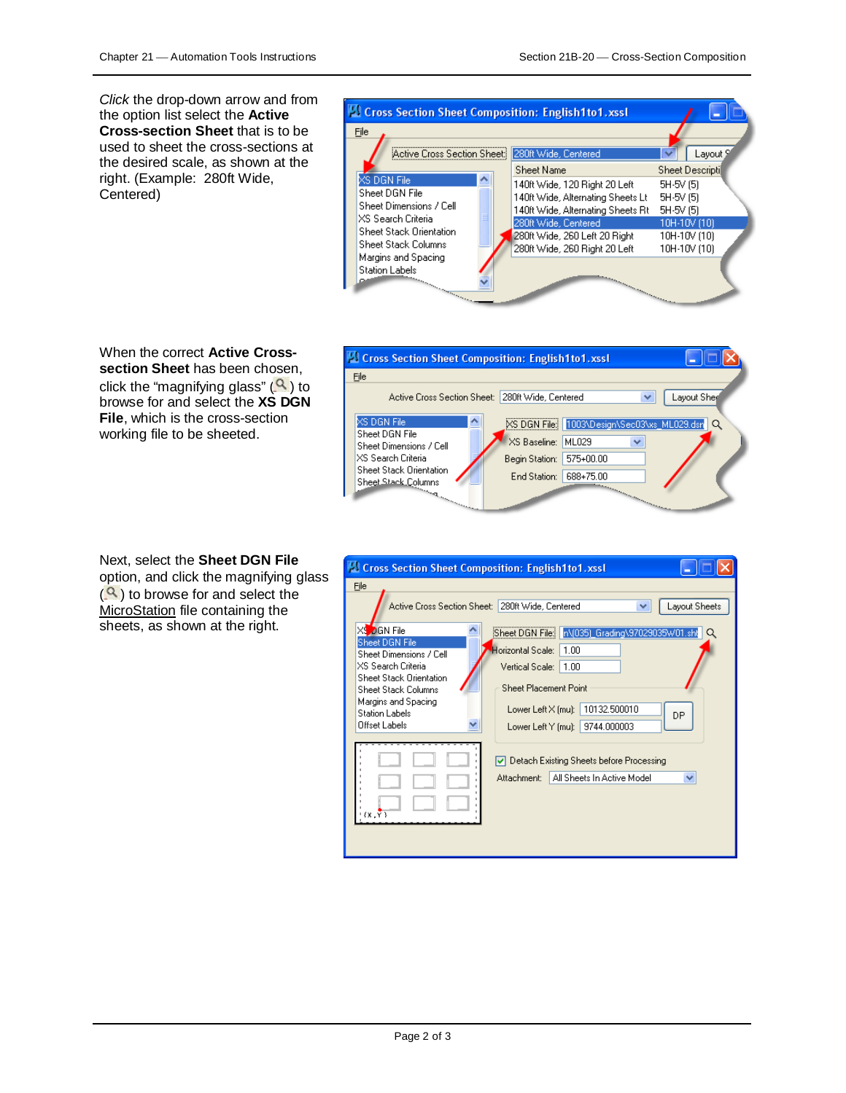*Click* the drop-down arrow and from the option list select the **Active Cross-section Sheet** that is to be used to sheet the cross-sections at the desired scale, as shown at the right. (Example: 280ft Wide, Centered)



When the correct **Active Crosssection Sheet** has been chosen, click the "magnifying glass" ( $\blacktriangle$  ) to browse for and select the **XS DGN File**, which is the cross-section working file to be sheeted.

| Cross Section Sheet Composition: English1to1.xssl                                                                                                                                                                                                                                                                                                                         |                                                                                                                                       |             |
|---------------------------------------------------------------------------------------------------------------------------------------------------------------------------------------------------------------------------------------------------------------------------------------------------------------------------------------------------------------------------|---------------------------------------------------------------------------------------------------------------------------------------|-------------|
| File                                                                                                                                                                                                                                                                                                                                                                      |                                                                                                                                       |             |
| Active Cross Section Sheet: I                                                                                                                                                                                                                                                                                                                                             | 280ft Wide, Centered<br>v                                                                                                             | Layout Sher |
| XS DGN File<br>∧<br>Sheet DGN File<br>Sheet Dimensions / Cell<br>IXS Search Criteria.<br>Sheet Stack Orientation<br>Sheet Stack Columns<br>and and some of the contract of the contract of the contract of the contract of the contract of the contract of the contract of the contract of the contract of the contract of the contract of the contract of the contract o | XS DGN File: 1003\Design\Sec03\xs_ML029.dsn<br>XS Baseline:<br>ML029<br>v<br>575+00.00<br>Begin Station:<br>688+75.00<br>End Station: | Q           |

Next, select the **Sheet DGN File** option, and click the magnifying glass  $(2)$  to browse for and select the MicroStation file containing the sheets, as shown at the right.

| Cross Section Sheet Composition: English1to1.xssl            |                                                                  |  |  |
|--------------------------------------------------------------|------------------------------------------------------------------|--|--|
| File                                                         |                                                                  |  |  |
| Active Cross Section Sheet:                                  | 280ft Wide, Centered<br>Layout Sheets<br>v                       |  |  |
| XS OGN File<br><b>Sheet DGN File</b>                         | n\(035)_Grading\97029035W01.sht<br>Sheet DGN File:  <br>$\Omega$ |  |  |
| Sheet Dimensions / Cell                                      | Horizontal Scale:<br>1.00                                        |  |  |
| XS Search Criteria                                           | Vertical Scale:<br>1.00                                          |  |  |
| <b>Sheet Stack Orientation</b><br><b>Sheet Stack Columns</b> | Sheet Placement Point                                            |  |  |
| Margins and Spacing<br><b>Station Labels</b>                 | 10132.500010<br>Lower Left X [mu]:<br>DP                         |  |  |
| Offset Labels                                                | 9744.000003<br>Lower Left Y [mu]:                                |  |  |
|                                                              | Detach Existing Sheets before Processing<br>M                    |  |  |
|                                                              | All Sheets In Active Model<br>Attachment:<br>v                   |  |  |
|                                                              |                                                                  |  |  |
| (X, Y)                                                       |                                                                  |  |  |
|                                                              |                                                                  |  |  |
|                                                              |                                                                  |  |  |
|                                                              |                                                                  |  |  |